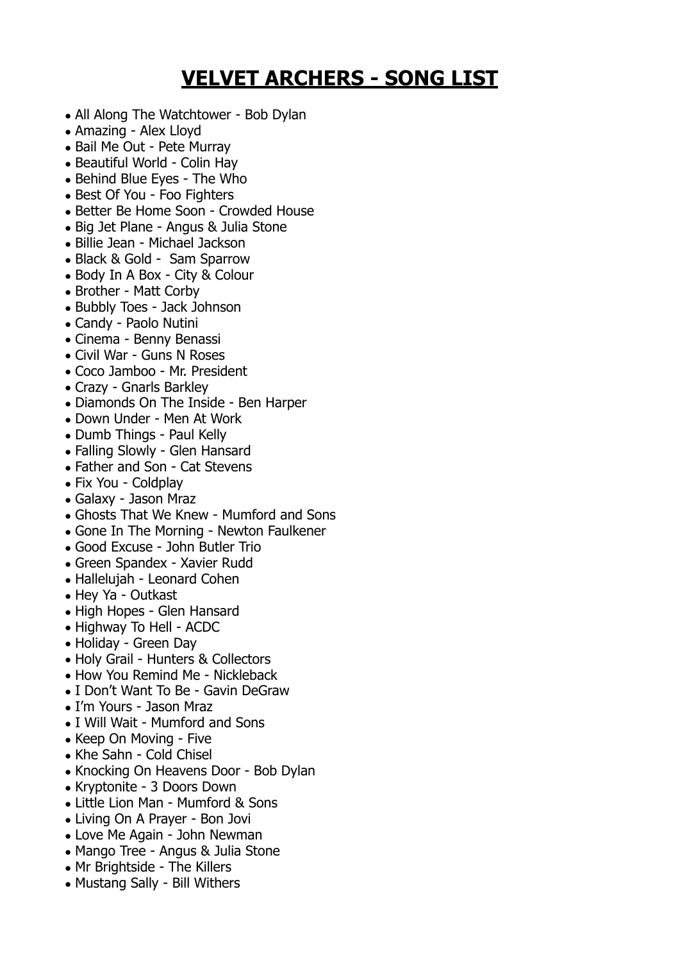## **VELVET ARCHERS - SONG LIST**

- All Along The Watchtower Bob Dylan
- Amazing Alex Lloyd
- Bail Me Out Pete Murray
- Beautiful World Colin Hav
- Behind Blue Eyes The Who
- Best Of You Foo Fighters
- Better Be Home Soon Crowded House
- Big Jet Plane Angus & Julia Stone
- Billie Jean Michael Jackson
- Black & Gold Sam Sparrow
- Body In A Box City & Colour
- Brother Matt Corby
- Bubbly Toes Jack Johnson
- Candy Paolo Nutini
- Cinema Benny Benassi
- Civil War Guns N Roses
- Coco Jamboo Mr. President
- Crazy Gnarls Barkley
- Diamonds On The Inside Ben Harper
- Down Under Men At Work
- Dumb Things Paul Kelly
- Falling Slowly Glen Hansard
- Father and Son Cat Stevens
- Fix You Coldplay
- Galaxy Jason Mraz
- Ghosts That We Knew Mumford and Sons
- Gone In The Morning Newton Faulkener
- Good Excuse John Butler Trio
- Green Spandex Xavier Rudd
- Hallelujah Leonard Cohen
- Hey Ya Outkast
- High Hopes Glen Hansard
- Highway To Hell ACDC
- Holiday Green Day
- Holy Grail Hunters & Collectors
- How You Remind Me Nickleback
- I Don't Want To Be Gavin DeGraw
- I'm Yours Jason Mraz
- I Will Wait Mumford and Sons
- Keep On Moving Five
- Khe Sahn Cold Chisel
- Knocking On Heavens Door Bob Dylan
- Kryptonite 3 Doors Down
- Little Lion Man Mumford & Sons
- Living On A Prayer Bon Jovi
- Love Me Again John Newman
- Mango Tree Angus & Julia Stone
- Mr Brightside The Killers
- Mustang Sally Bill Withers